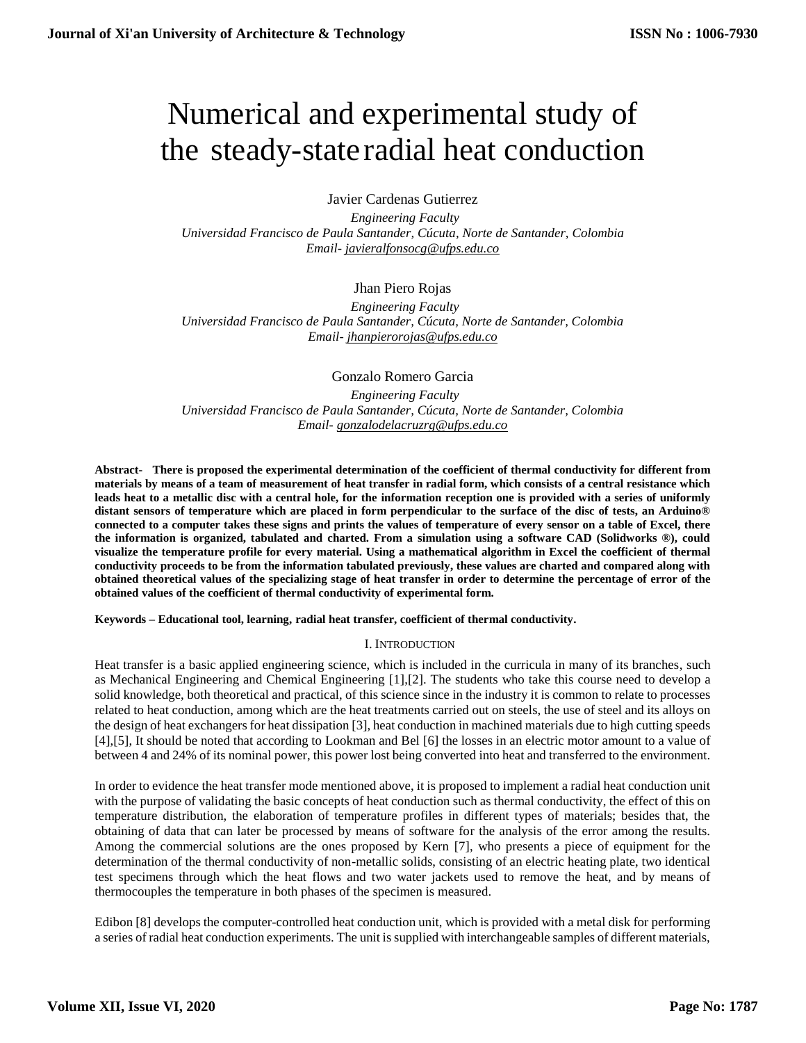# Numerical and experimental study of the steady-state radial heat conduction

Javier Cardenas Gutierrez

 *Engineering Faculty Universidad Francisco de Paula Santander, Cúcuta, Norte de Santander, Colombia Email- [javieralfonsocg@ufps.edu.co](mailto:javieralfonsocg@ufps.edu.co)*

## Jhan Piero Rojas

 *Engineering Faculty Universidad Francisco de Paula Santander, Cúcuta, Norte de Santander, Colombia Email- [jhanpierorojas@ufps.edu.co](mailto:jhanpierorojas@ufps.edu.co)*

Gonzalo Romero Garcia

 *Engineering Faculty Universidad Francisco de Paula Santander, Cúcuta, Norte de Santander, Colombia Email- [gonzalodelacruzrg@ufps.edu.co](mailto:gonzalodelacruzrg@ufps.edu.co)*

**Abstract- There is proposed the experimental determination of the coefficient of thermal conductivity for different from materials by means of a team of measurement of heat transfer in radial form, which consists of a central resistance which leads heat to a metallic disc with a central hole, for the information reception one is provided with a series of uniformly distant sensors of temperature which are placed in form perpendicular to the surface of the disc of tests, an Arduino® connected to a computer takes these signs and prints the values of temperature of every sensor on a table of Excel, there the information is organized, tabulated and charted. From a simulation using a software CAD (Solidworks ®), could visualize the temperature profile for every material. Using a mathematical algorithm in Excel the coefficient of thermal conductivity proceeds to be from the information tabulated previously, these values are charted and compared along with obtained theoretical values of the specializing stage of heat transfer in order to determine the percentage of error of the obtained values of the coefficient of thermal conductivity of experimental form.**

**Keywords – Educational tool, learning, radial heat transfer, coefficient of thermal conductivity.**

### I. INTRODUCTION

Heat transfer is a basic applied engineering science, which is included in the curricula in many of its branches, such as Mechanical Engineering and Chemical Engineering [1],[2]. The students who take this course need to develop a solid knowledge, both theoretical and practical, of this science since in the industry it is common to relate to processes related to heat conduction, among which are the heat treatments carried out on steels, the use of steel and its alloys on the design of heat exchangers for heat dissipation [3], heat conduction in machined materials due to high cutting speeds [4],[5], It should be noted that according to Lookman and Bel [6] the losses in an electric motor amount to a value of between 4 and 24% of its nominal power, this power lost being converted into heat and transferred to the environment.

In order to evidence the heat transfer mode mentioned above, it is proposed to implement a radial heat conduction unit with the purpose of validating the basic concepts of heat conduction such as thermal conductivity, the effect of this on temperature distribution, the elaboration of temperature profiles in different types of materials; besides that, the obtaining of data that can later be processed by means of software for the analysis of the error among the results. Among the commercial solutions are the ones proposed by Kern [7], who presents a piece of equipment for the determination of the thermal conductivity of non-metallic solids, consisting of an electric heating plate, two identical test specimens through which the heat flows and two water jackets used to remove the heat, and by means of thermocouples the temperature in both phases of the specimen is measured.

Edibon [8] develops the computer-controlled heat conduction unit, which is provided with a metal disk for performing a series of radial heat conduction experiments. The unit is supplied with interchangeable samples of different materials,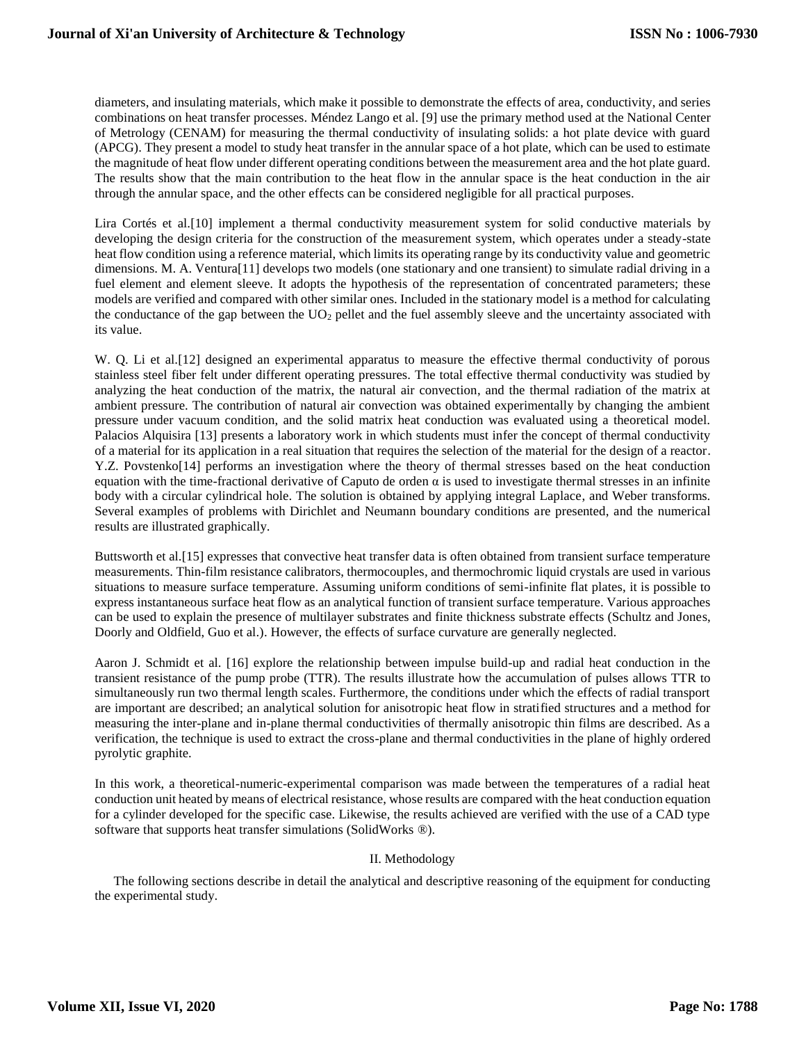diameters, and insulating materials, which make it possible to demonstrate the effects of area, conductivity, and series combinations on heat transfer processes. Méndez Lango et al. [9] use the primary method used at the National Center of Metrology (CENAM) for measuring the thermal conductivity of insulating solids: a hot plate device with guard (APCG). They present a model to study heat transfer in the annular space of a hot plate, which can be used to estimate the magnitude of heat flow under different operating conditions between the measurement area and the hot plate guard. The results show that the main contribution to the heat flow in the annular space is the heat conduction in the air through the annular space, and the other effects can be considered negligible for all practical purposes.

Lira Cortés et al.[10] implement a thermal conductivity measurement system for solid conductive materials by developing the design criteria for the construction of the measurement system, which operates under a steady-state heat flow condition using a reference material, which limits its operating range by its conductivity value and geometric dimensions. M. A. Ventura[11] develops two models (one stationary and one transient) to simulate radial driving in a fuel element and element sleeve. It adopts the hypothesis of the representation of concentrated parameters; these models are verified and compared with other similar ones. Included in the stationary model is a method for calculating the conductance of the gap between the UO<sup>2</sup> pellet and the fuel assembly sleeve and the uncertainty associated with its value.

W. Q. Li et al.[12] designed an experimental apparatus to measure the effective thermal conductivity of porous stainless steel fiber felt under different operating pressures. The total effective thermal conductivity was studied by analyzing the heat conduction of the matrix, the natural air convection, and the thermal radiation of the matrix at ambient pressure. The contribution of natural air convection was obtained experimentally by changing the ambient pressure under vacuum condition, and the solid matrix heat conduction was evaluated using a theoretical model. Palacios Alquisira [13] presents a laboratory work in which students must infer the concept of thermal conductivity of a material for its application in a real situation that requires the selection of the material for the design of a reactor. Y.Z. Povstenko[14] performs an investigation where the theory of thermal stresses based on the heat conduction equation with the time-fractional derivative of Caputo de orden  $\alpha$  is used to investigate thermal stresses in an infinite body with a circular cylindrical hole. The solution is obtained by applying integral Laplace, and Weber transforms. Several examples of problems with Dirichlet and Neumann boundary conditions are presented, and the numerical results are illustrated graphically.

Buttsworth et al.[15] expresses that convective heat transfer data is often obtained from transient surface temperature measurements. Thin-film resistance calibrators, thermocouples, and thermochromic liquid crystals are used in various situations to measure surface temperature. Assuming uniform conditions of semi-infinite flat plates, it is possible to express instantaneous surface heat flow as an analytical function of transient surface temperature. Various approaches can be used to explain the presence of multilayer substrates and finite thickness substrate effects (Schultz and Jones, Doorly and Oldfield, Guo et al.). However, the effects of surface curvature are generally neglected.

Aaron J. Schmidt et al. [16] explore the relationship between impulse build-up and radial heat conduction in the transient resistance of the pump probe (TTR). The results illustrate how the accumulation of pulses allows TTR to simultaneously run two thermal length scales. Furthermore, the conditions under which the effects of radial transport are important are described; an analytical solution for anisotropic heat flow in stratified structures and a method for measuring the inter-plane and in-plane thermal conductivities of thermally anisotropic thin films are described. As a verification, the technique is used to extract the cross-plane and thermal conductivities in the plane of highly ordered pyrolytic graphite.

In this work, a theoretical-numeric-experimental comparison was made between the temperatures of a radial heat conduction unit heated by means of electrical resistance, whose results are compared with the heat conduction equation for a cylinder developed for the specific case. Likewise, the results achieved are verified with the use of a CAD type software that supports heat transfer simulations (SolidWorks ®).

## II. Methodology

The following sections describe in detail the analytical and descriptive reasoning of the equipment for conducting the experimental study.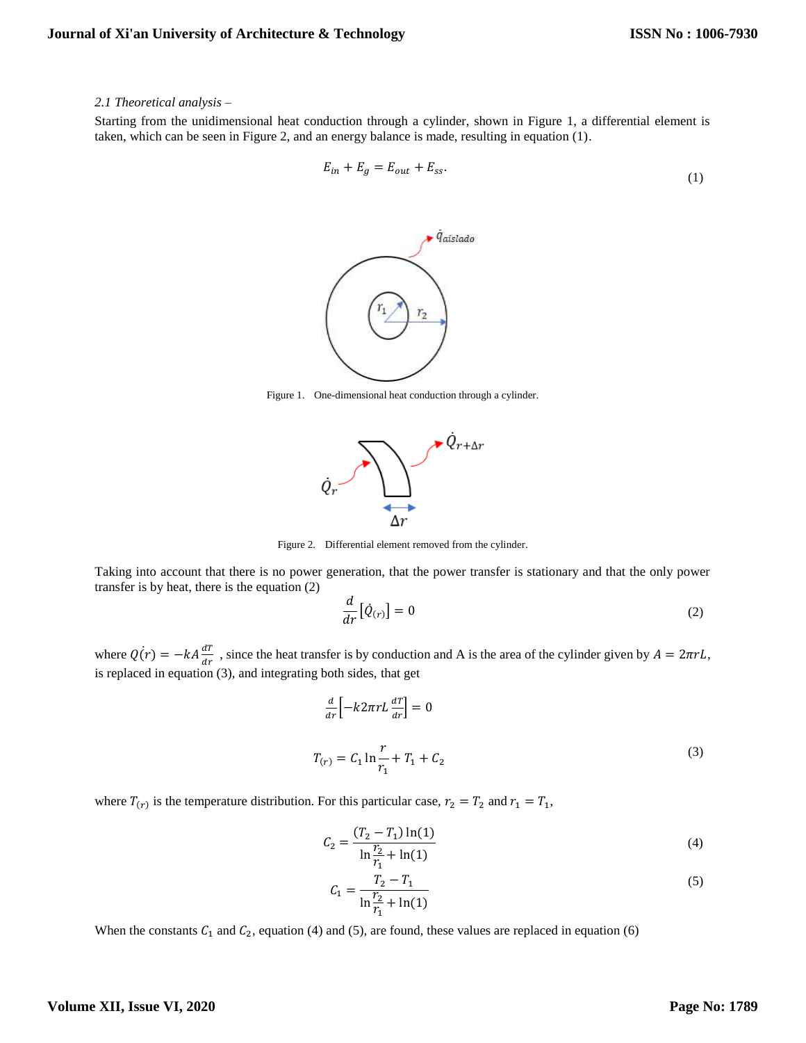#### *2.1 Theoretical analysis –*

Starting from the unidimensional heat conduction through a cylinder, shown in Figure 1, a differential element is taken, which can be seen in Figure 2, and an energy balance is made, resulting in equation (1).

$$
E_{in} + E_g = E_{out} + E_{ss}.
$$
\n<sup>(1)</sup>



Figure 1. One-dimensional heat conduction through a cylinder.



Figure 2. Differential element removed from the cylinder.

Taking into account that there is no power generation, that the power transfer is stationary and that the only power transfer is by heat, there is the equation (2)

$$
\frac{d}{dr}\left[\dot{Q}_{(r)}\right] = 0\tag{2}
$$

where  $Q(r) = -kA \frac{dT}{dr}$ , since the heat transfer is by conduction and A is the area of the cylinder given by  $A = 2\pi rL$ , is replaced in equation (3), and integrating both sides, that get

$$
\frac{d}{dr} \left[ -k2\pi r L \frac{dT}{dr} \right] = 0
$$
\n
$$
T_{(r)} = C_1 \ln \frac{r}{r_1} + T_1 + C_2
$$
\n(3)

where  $T_{(r)}$  is the temperature distribution. For this particular case,  $r_2 = T_2$  and  $r_1 = T_1$ ,

$$
C_2 = \frac{(T_2 - T_1) \ln(1)}{\ln \frac{r_2}{r_1} + \ln(1)}\tag{4}
$$

$$
C_1 = \frac{T_2 - T_1}{\ln \frac{r_2}{r_1} + \ln(1)}\tag{5}
$$

When the constants  $C_1$  and  $C_2$ , equation (4) and (5), are found, these values are replaced in equation (6)

## **Volume XII, Issue VI, 2020**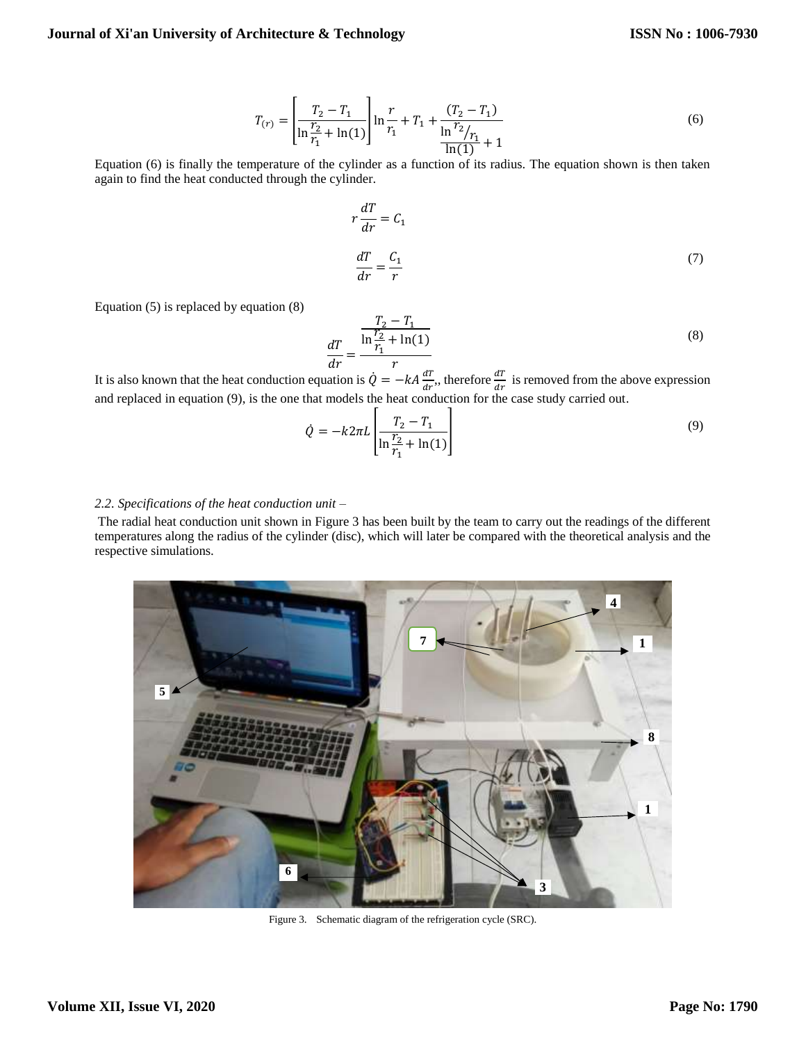$$
T_{(r)} = \left[\frac{T_2 - T_1}{\ln\frac{r_2}{r_1} + \ln(1)}\right] \ln\frac{r}{r_1} + T_1 + \frac{(T_2 - T_1)}{\ln\frac{r_2}{r_1} + 1}
$$
(6)

Equation (6) is finally the temperature of the cylinder as a function of its radius. The equation shown is then taken again to find the heat conducted through the cylinder.

$$
r\frac{dT}{dr} = C_1
$$
  

$$
\frac{dT}{dr} = \frac{C_1}{r}
$$
 (7)

Equation (5) is replaced by equation (8)

$$
\frac{dT}{dr} = \frac{\frac{T_2 - T_1}{r_2} + \ln(1)}{r}
$$
\n(8)

It is also known that the heat conduction equation is  $\dot{Q} = -kA \frac{dT}{dr}$ , therefore  $\frac{dT}{dr}$  is removed from the above expression and replaced in equation (9), is the one that models the heat conduction for the case study carried out.

$$
\dot{Q} = -k2\pi L \left[ \frac{T_2 - T_1}{\ln \frac{r_2}{r_1} + \ln(1)} \right] \tag{9}
$$

#### *2.2. Specifications of the heat conduction unit –*

The radial heat conduction unit shown in Figure 3 has been built by the team to carry out the readings of the different temperatures along the radius of the cylinder (disc), which will later be compared with the theoretical analysis and the respective simulations.



Figure 3. Schematic diagram of the refrigeration cycle (SRC).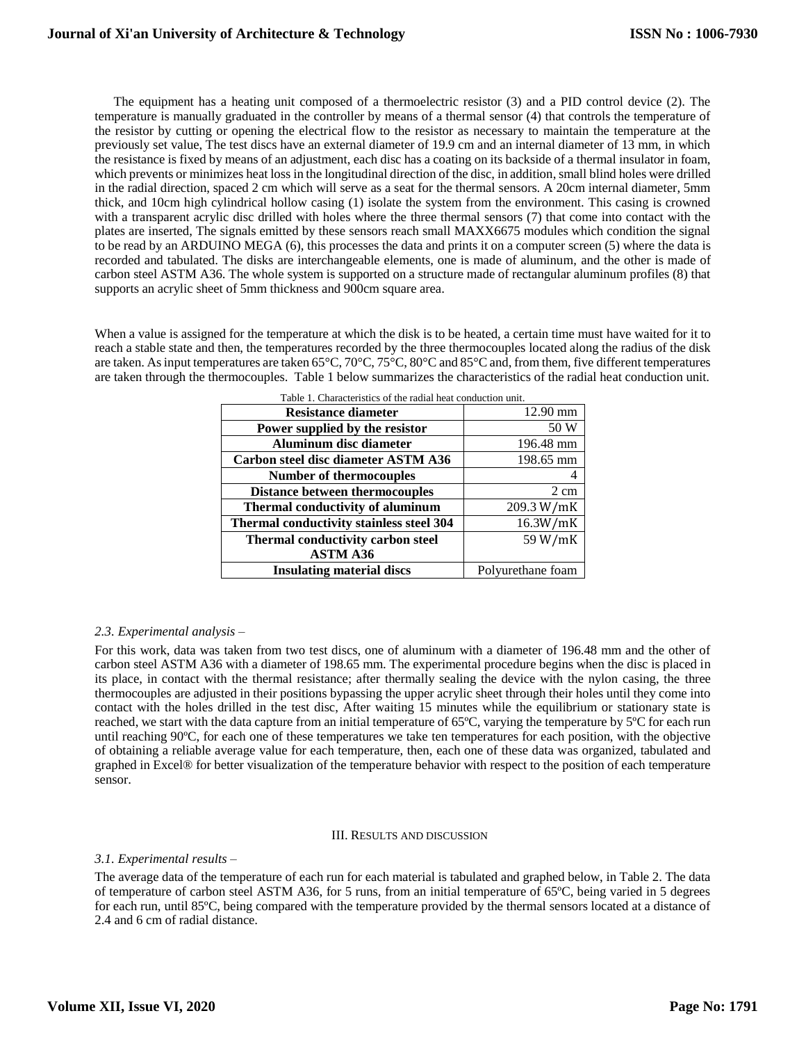The equipment has a heating unit composed of a thermoelectric resistor (3) and a PID control device (2). The temperature is manually graduated in the controller by means of a thermal sensor (4) that controls the temperature of the resistor by cutting or opening the electrical flow to the resistor as necessary to maintain the temperature at the previously set value, The test discs have an external diameter of 19.9 cm and an internal diameter of 13 mm, in which the resistance is fixed by means of an adjustment, each disc has a coating on its backside of a thermal insulator in foam, which prevents or minimizes heat loss in the longitudinal direction of the disc, in addition, small blind holes were drilled in the radial direction, spaced 2 cm which will serve as a seat for the thermal sensors. A 20cm internal diameter, 5mm thick, and 10cm high cylindrical hollow casing (1) isolate the system from the environment. This casing is crowned with a transparent acrylic disc drilled with holes where the three thermal sensors (7) that come into contact with the plates are inserted, The signals emitted by these sensors reach small MAXX6675 modules which condition the signal to be read by an ARDUINO MEGA (6), this processes the data and prints it on a computer screen (5) where the data is recorded and tabulated. The disks are interchangeable elements, one is made of aluminum, and the other is made of carbon steel ASTM A36. The whole system is supported on a structure made of rectangular aluminum profiles (8) that supports an acrylic sheet of 5mm thickness and 900cm square area.

When a value is assigned for the temperature at which the disk is to be heated, a certain time must have waited for it to reach a stable state and then, the temperatures recorded by the three thermocouples located along the radius of the disk are taken. As input temperatures are taken 65°C, 70°C, 75°C, 80°C and 85°C and, from them, five different temperatures are taken through the thermocouples. Table 1 below summarizes the characteristics of the radial heat conduction unit.

| raono ri chanacteristico or the natuurneae comutentoni anno |                   |
|-------------------------------------------------------------|-------------------|
| <b>Resistance diameter</b>                                  | $12.90$ mm        |
| Power supplied by the resistor                              | 50 W              |
| <b>Aluminum disc diameter</b>                               | 196.48 mm         |
| Carbon steel disc diameter ASTM A36                         | 198.65 mm         |
| <b>Number of thermocouples</b>                              | 4                 |
| <b>Distance between thermocouples</b>                       | $2 \text{ cm}$    |
| Thermal conductivity of aluminum                            | 209.3 W/mK        |
| Thermal conductivity stainless steel 304                    | 16.3W/mK          |
| <b>Thermal conductivity carbon steel</b>                    | 59 W/mK           |
| <b>ASTM A36</b>                                             |                   |
| <b>Insulating material discs</b>                            | Polyurethane foam |

Table 1. Characteristics of the radial heat conduction unit.

### *2.3. Experimental analysis –*

For this work, data was taken from two test discs, one of aluminum with a diameter of 196.48 mm and the other of carbon steel ASTM A36 with a diameter of 198.65 mm. The experimental procedure begins when the disc is placed in its place, in contact with the thermal resistance; after thermally sealing the device with the nylon casing, the three thermocouples are adjusted in their positions bypassing the upper acrylic sheet through their holes until they come into contact with the holes drilled in the test disc, After waiting 15 minutes while the equilibrium or stationary state is reached, we start with the data capture from an initial temperature of 65ºC, varying the temperature by 5ºC for each run until reaching 90ºC, for each one of these temperatures we take ten temperatures for each position, with the objective of obtaining a reliable average value for each temperature, then, each one of these data was organized, tabulated and graphed in Excel® for better visualization of the temperature behavior with respect to the position of each temperature sensor.

### III. RESULTS AND DISCUSSION

## *3.1. Experimental results –*

The average data of the temperature of each run for each material is tabulated and graphed below, in Table 2. The data of temperature of carbon steel ASTM A36, for 5 runs, from an initial temperature of 65ºC, being varied in 5 degrees for each run, until 85ºC, being compared with the temperature provided by the thermal sensors located at a distance of 2.4 and 6 cm of radial distance.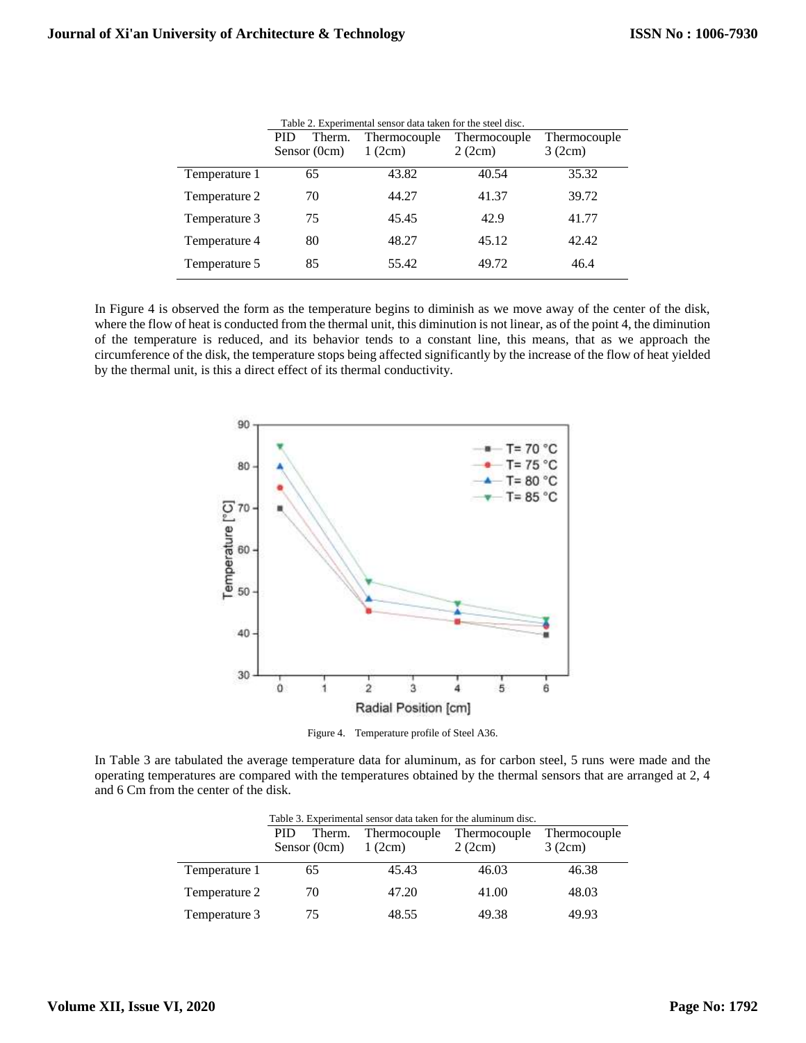|               | Table 2. Experimental sensor data taken for the steel disc. |        |              |        |
|---------------|-------------------------------------------------------------|--------|--------------|--------|
|               | <b>PID</b><br>Thermocouple<br>Thermocouple<br>Therm.        |        | Thermocouple |        |
|               | Sensor (0cm)                                                | 1(2cm) | 2(2cm)       | 3(2cm) |
| Temperature 1 | 65                                                          | 43.82  | 40.54        | 35.32  |
| Temperature 2 | 70                                                          | 44.27  | 41.37        | 39.72  |
| Temperature 3 | 75                                                          | 45.45  | 42.9         | 41.77  |
| Temperature 4 | 80                                                          | 48.27  | 45.12        | 42.42  |
| Temperature 5 | 85                                                          | 55.42  | 49.72        | 46.4   |

In Figure 4 is observed the form as the temperature begins to diminish as we move away of the center of the disk, where the flow of heat is conducted from the thermal unit, this diminution is not linear, as of the point 4, the diminution of the temperature is reduced, and its behavior tends to a constant line, this means, that as we approach the circumference of the disk, the temperature stops being affected significantly by the increase of the flow of heat yielded by the thermal unit, is this a direct effect of its thermal conductivity.



Figure 4. Temperature profile of Steel A36.

In Table 3 are tabulated the average temperature data for aluminum, as for carbon steel, 5 runs were made and the operating temperatures are compared with the temperatures obtained by the thermal sensors that are arranged at 2, 4 and 6 Cm from the center of the disk.

|               |                      | Table 3. Experimental sensor data taken for the aluminum disc. |              |              |
|---------------|----------------------|----------------------------------------------------------------|--------------|--------------|
|               | <b>PID</b><br>Therm. | Thermocouple                                                   | Thermocouple | Thermocouple |
|               | Sensor (0cm)         | 1(2cm)                                                         | 2(2cm)       | 3(2cm)       |
| Temperature 1 | 65                   | 45.43                                                          | 46.03        | 46.38        |
| Temperature 2 | 70                   | 47.20                                                          | 41.00        | 48.03        |
| Temperature 3 | 75                   | 48.55                                                          | 49.38        | 49.93        |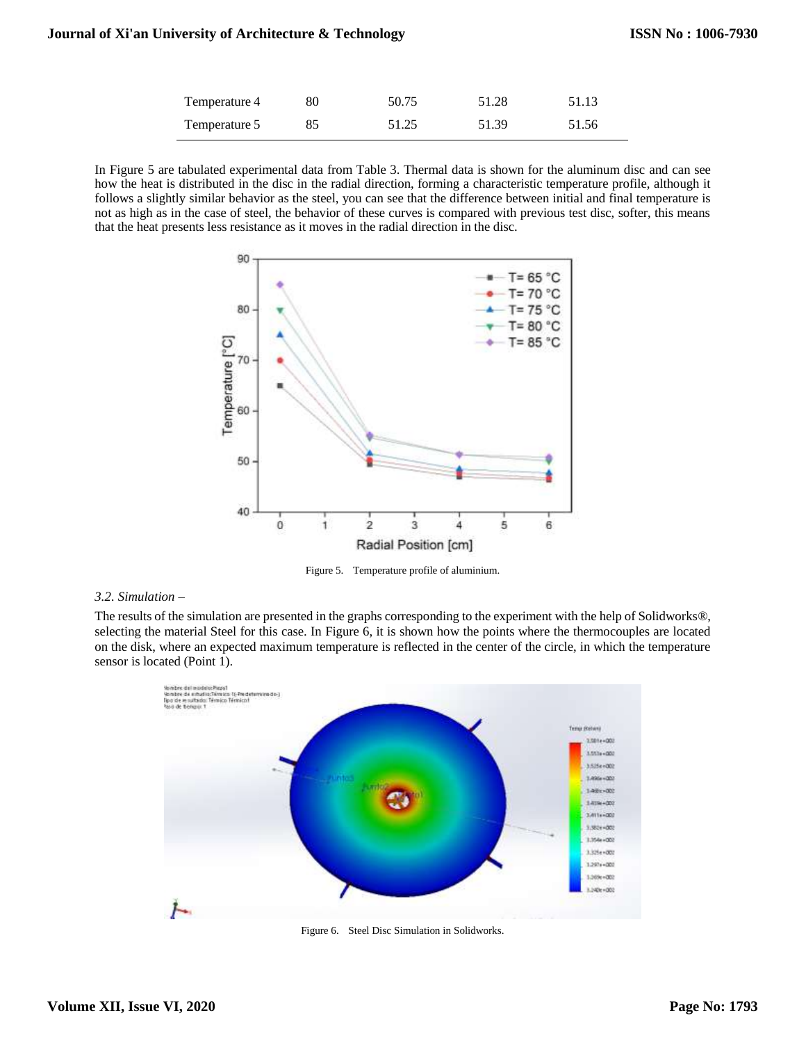| Temperature 4 | 50.75 | 51.28 | 51.13 |
|---------------|-------|-------|-------|
| Temperature 5 | 51.25 | 51.39 | 51.56 |

In Figure 5 are tabulated experimental data from Table 3. Thermal data is shown for the aluminum disc and can see how the heat is distributed in the disc in the radial direction, forming a characteristic temperature profile, although it follows a slightly similar behavior as the steel, you can see that the difference between initial and final temperature is not as high as in the case of steel, the behavior of these curves is compared with previous test disc, softer, this means that the heat presents less resistance as it moves in the radial direction in the disc.



Figure 5. Temperature profile of aluminium.

### *3.2. Simulation –*

The results of the simulation are presented in the graphs corresponding to the experiment with the help of Solidworks®, selecting the material Steel for this case. In Figure 6, it is shown how the points where the thermocouples are located on the disk, where an expected maximum temperature is reflected in the center of the circle, in which the temperature sensor is located (Point 1).



Figure 6. Steel Disc Simulation in Solidworks.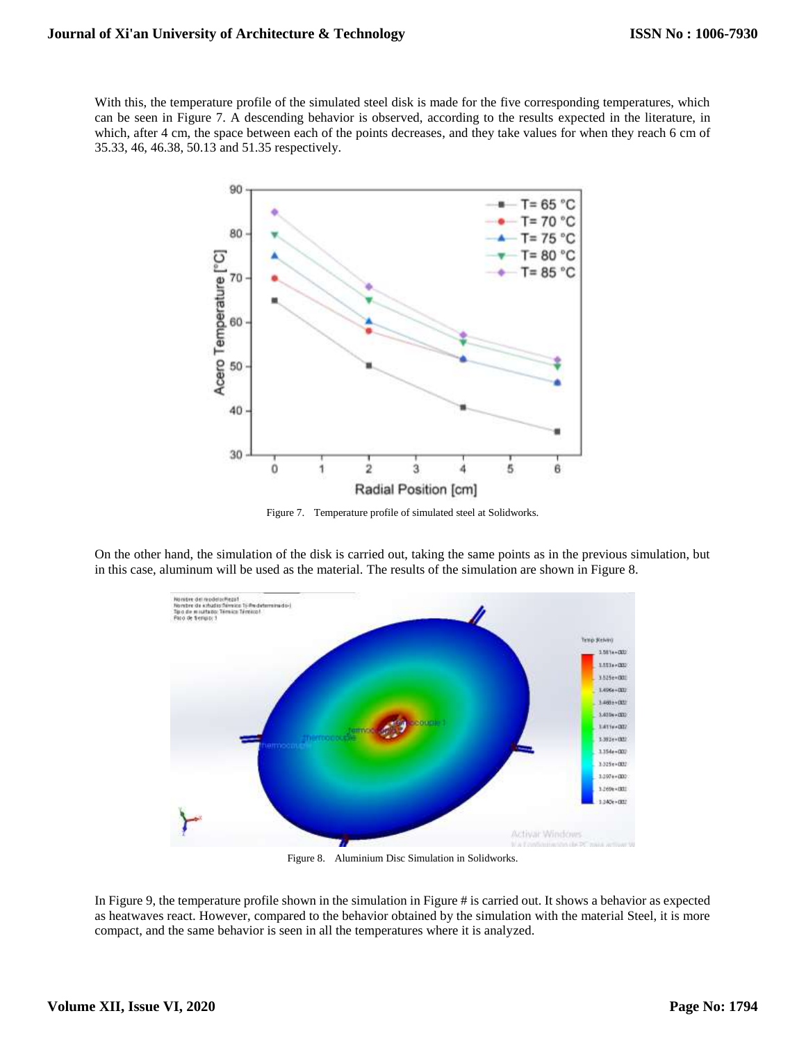With this, the temperature profile of the simulated steel disk is made for the five corresponding temperatures, which can be seen in Figure 7. A descending behavior is observed, according to the results expected in the literature, in which, after 4 cm, the space between each of the points decreases, and they take values for when they reach 6 cm of 35.33, 46, 46.38, 50.13 and 51.35 respectively.

![](_page_7_Figure_3.jpeg)

Figure 7. Temperature profile of simulated steel at Solidworks.

On the other hand, the simulation of the disk is carried out, taking the same points as in the previous simulation, but in this case, aluminum will be used as the material. The results of the simulation are shown in Figure 8.

![](_page_7_Figure_6.jpeg)

Figure 8. Aluminium Disc Simulation in Solidworks.

In Figure 9, the temperature profile shown in the simulation in Figure # is carried out. It shows a behavior as expected as heatwaves react. However, compared to the behavior obtained by the simulation with the material Steel, it is more compact, and the same behavior is seen in all the temperatures where it is analyzed.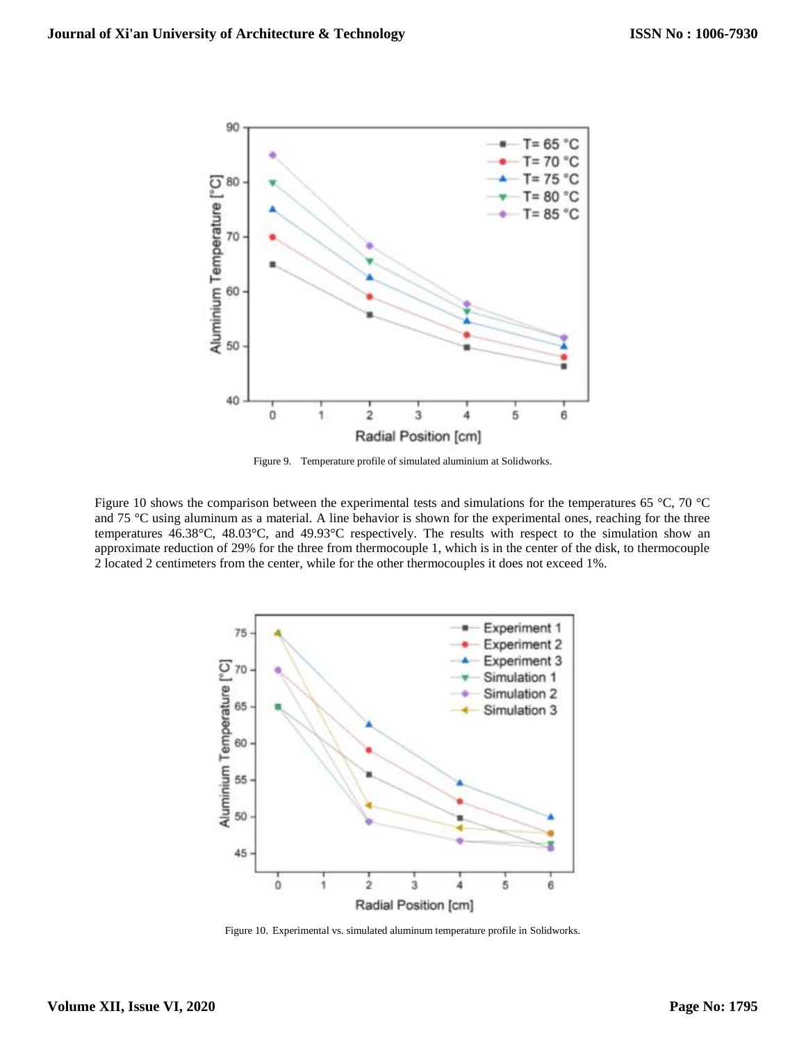![](_page_8_Figure_2.jpeg)

Figure 9. Temperature profile of simulated aluminium at Solidworks.

Figure 10 shows the comparison between the experimental tests and simulations for the temperatures 65 °C, 70 °C and 75 °C using aluminum as a material. A line behavior is shown for the experimental ones, reaching for the three temperatures 46.38°C, 48.03°C, and 49.93°C respectively. The results with respect to the simulation show an approximate reduction of 29% for the three from thermocouple 1, which is in the center of the disk, to thermocouple 2 located 2 centimeters from the center, while for the other thermocouples it does not exceed 1%.

![](_page_8_Figure_5.jpeg)

Figure 10. Experimental vs. simulated aluminum temperature profile in Solidworks.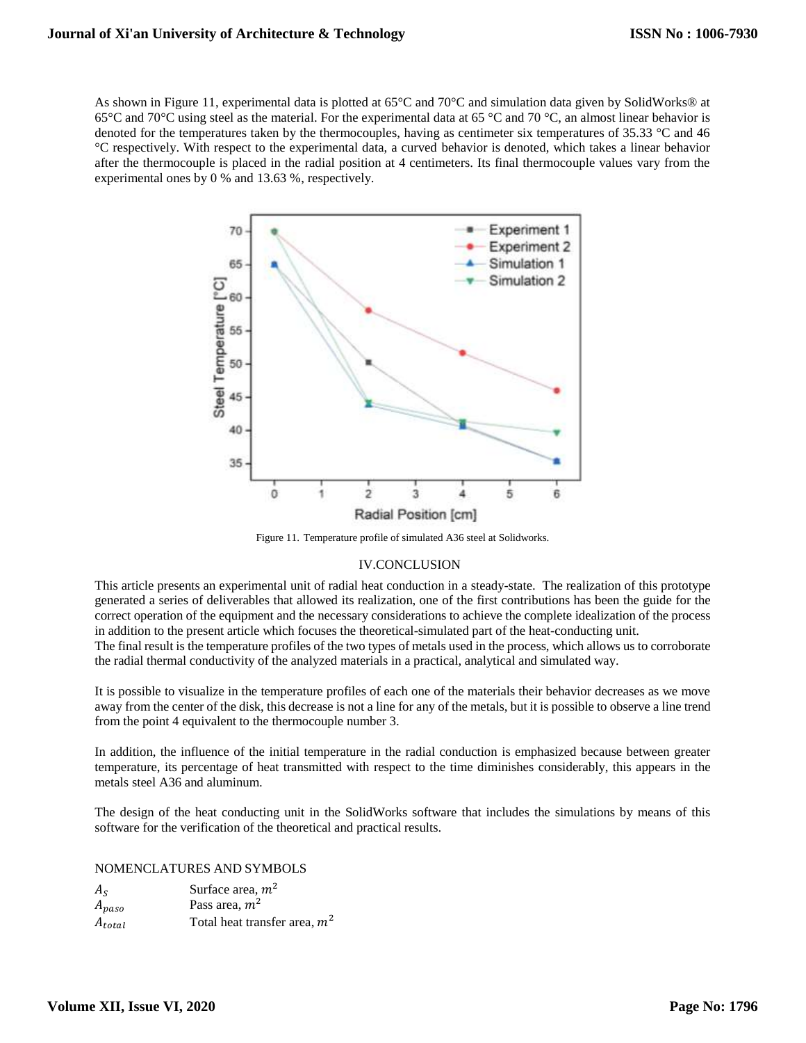As shown in Figure 11, experimental data is plotted at 65°C and 70°C and simulation data given by SolidWorks® at 65<sup>o</sup>C and 70<sup>o</sup>C using steel as the material. For the experimental data at 65<sup>o</sup>C and 70<sup>o</sup>C, an almost linear behavior is denoted for the temperatures taken by the thermocouples, having as centimeter six temperatures of 35.33 °C and 46 °C respectively. With respect to the experimental data, a curved behavior is denoted, which takes a linear behavior after the thermocouple is placed in the radial position at 4 centimeters. Its final thermocouple values vary from the experimental ones by 0 % and 13.63 %, respectively.

![](_page_9_Figure_3.jpeg)

Figure 11. Temperature profile of simulated A36 steel at Solidworks.

## IV.CONCLUSION

This article presents an experimental unit of radial heat conduction in a steady-state. The realization of this prototype generated a series of deliverables that allowed its realization, one of the first contributions has been the guide for the correct operation of the equipment and the necessary considerations to achieve the complete idealization of the process in addition to the present article which focuses the theoretical-simulated part of the heat-conducting unit.

The final result is the temperature profiles of the two types of metals used in the process, which allows us to corroborate the radial thermal conductivity of the analyzed materials in a practical, analytical and simulated way.

It is possible to visualize in the temperature profiles of each one of the materials their behavior decreases as we move away from the center of the disk, this decrease is not a line for any of the metals, but it is possible to observe a line trend from the point 4 equivalent to the thermocouple number 3.

In addition, the influence of the initial temperature in the radial conduction is emphasized because between greater temperature, its percentage of heat transmitted with respect to the time diminishes considerably, this appears in the metals steel A36 and aluminum.

The design of the heat conducting unit in the SolidWorks software that includes the simulations by means of this software for the verification of the theoretical and practical results.

NOMENCLATURES AND SYMBOLS

| $A_{S}$     | Surface area, $m^2$             |
|-------------|---------------------------------|
| $A_{paso}$  | Pass area, $m2$                 |
| $A_{total}$ | Total heat transfer area, $m^2$ |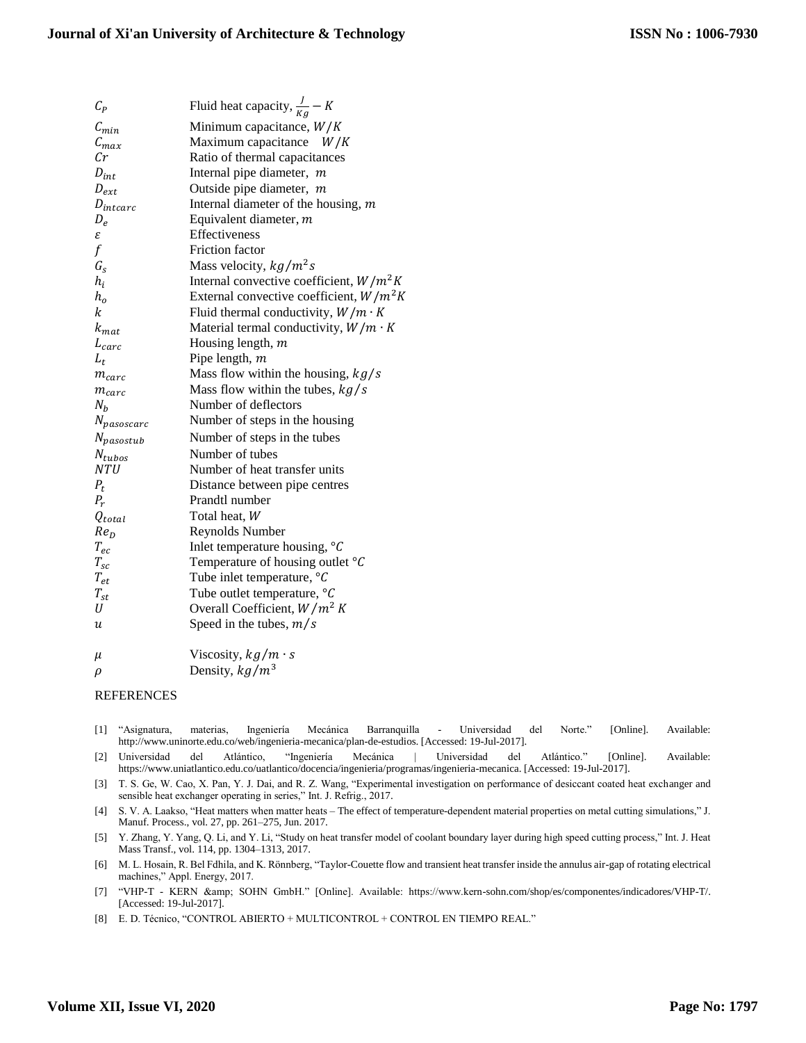| $C_P$               | Fluid heat capacity, $\frac{J}{Ka} - K$     |
|---------------------|---------------------------------------------|
| $\mathcal{C}_{min}$ | Minimum capacitance, $W/K$                  |
| $C_{max}$           | Maximum capacitance $W/K$                   |
| $\mathcal{C}r$      | Ratio of thermal capacitances               |
| $D_{int}$           | Internal pipe diameter, m                   |
| $D_{ext}$           | Outside pipe diameter, m                    |
| $D_{interac}$       | Internal diameter of the housing, $m$       |
| $D_{\rho}$          | Equivalent diameter, m                      |
| ε                   | Effectiveness                               |
| f                   | <b>Friction</b> factor                      |
| $G_{S}$             | Mass velocity, $kg/m^2s$                    |
| $h_i$               | Internal convective coefficient, $W/m^2K$   |
| $h_{\alpha}$        | External convective coefficient, $W/m^2K$   |
| k                   | Fluid thermal conductivity, $W/m \cdot K$   |
| $k_{mat}$           | Material termal conductivity, $W/m \cdot K$ |
| $L_{carc}$          | Housing length, m                           |
| $L_t$               | Pipe length, $m$                            |
| $m_{carc}$          | Mass flow within the housing, $kg/s$        |
| $m_{carc}$          | Mass flow within the tubes, $kg/s$          |
| $N_h$               | Number of deflectors                        |
| $N_{passcare}$      | Number of steps in the housing              |
| $N_{passotub}$      | Number of steps in the tubes                |
| $N_{tubos}$         | Number of tubes                             |
| <b>NTU</b>          | Number of heat transfer units               |
| $P_t$               | Distance between pipe centres               |
| $P_r$               | Prandtl number                              |
| $Q_{total}$         | Total heat, W                               |
| Re <sub>D</sub>     | Reynolds Number                             |
| $T_{ec}$            | Inlet temperature housing, ${}^{\circ}C$    |
| $T_{sc}$            | Temperature of housing outlet ${}^{\circ}C$ |
| $T_{et}$            | Tube inlet temperature, ${}^{\circ}C$       |
| $T_{st}$            | Tube outlet temperature, ${}^{\circ}C$      |
| U                   | Overall Coefficient, $W/m^2 K$              |
| $\mathfrak u$       | Speed in the tubes, $m/s$                   |
| $\mu$               | Viscosity, $kg/m \cdot s$                   |
|                     |                                             |

 $\rho$  Density,  $kg/m^3$ 

## **REFERENCES**

- [1] "Asignatura, materias, Ingeniería Mecánica Barranquilla Universidad del Norte." [Online]. Available: http://www.uninorte.edu.co/web/ingenieria-mecanica/plan-de-estudios. [Accessed: 19-Jul-2017].
- [2] Universidad del Atlántico, "Ingeniería Mecánica | Universidad del Atlántico." [Online]. Available: https://www.uniatlantico.edu.co/uatlantico/docencia/ingenieria/programas/ingenieria-mecanica. [Accessed: 19-Jul-2017].
- [3] T. S. Ge, W. Cao, X. Pan, Y. J. Dai, and R. Z. Wang, "Experimental investigation on performance of desiccant coated heat exchanger and sensible heat exchanger operating in series," Int. J. Refrig., 2017.
- [4] S. V. A. Laakso, "Heat matters when matter heats The effect of temperature-dependent material properties on metal cutting simulations," J. Manuf. Process., vol. 27, pp. 261–275, Jun. 2017.
- [5] Y. Zhang, Y. Yang, Q. Li, and Y. Li, "Study on heat transfer model of coolant boundary layer during high speed cutting process," Int. J. Heat Mass Transf., vol. 114, pp. 1304–1313, 2017.
- [6] M. L. Hosain, R. Bel Fdhila, and K. Rönnberg, "Taylor-Couette flow and transient heat transfer inside the annulus air-gap of rotating electrical machines," Appl. Energy, 2017.
- [7] "VHP-T KERN & SOHN GmbH." [Online]. Available: https://www.kern-sohn.com/shop/es/componentes/indicadores/VHP-T/. [Accessed: 19-Jul-2017].
- [8] E. D. Técnico, "CONTROL ABIERTO + MULTICONTROL + CONTROL EN TIEMPO REAL."